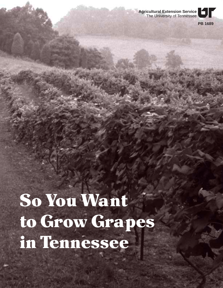**Agricultural Extension Service** The University of Tennessee

**PB 1689**

# So You Want to Grow Grapes in Tennessee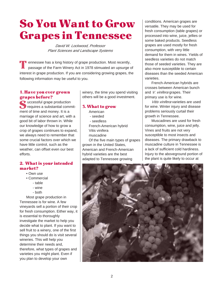# So You Want to Grow Grapes in Tennessee

David W. Lockwood, Professor Plant Sciences and Landscape Systems

**Example 1** ennessee has a long history of grape production. Most recently, passage of the Farm Winery Act in 1978 stimuated an upsurge of interest in grape production. If you are considering growing grapes, the following information may be useful to you. T

#### 1. Have you ever grown grapes before?

Successful grape production<br>
Successful grape production<br>
Successful grape production requires a substantial commitment of time and money. It is a marriage of science and art, with a good bit of labor thrown in. While our knowledge of how to grow a crop of grapes continues to expand, we always need to remember that some crucial factors over which we have little control, such as the weather, can offset even our best efforts.

# 2. What is your intended market?

- Own use
- Commercial
	- table
	- wine
	- both

Most grape production in Tennessee is for wine. A few vineyards sell a portion of their crop for fresh consumption. Either way, it is essential to thoroughly investigate the market to help you decide what to plant. If you want to sell fruit to a winery, one of the first things you should do is visit several wineries. This will help you determine their needs and, therefore, what types of grapes and varieties you might plant. Even if you plan to develop your own

winery, the time you spend visiting others will be a good investment.

#### 3. What to grow

- American
- seeded
- seedless
- French-American hybrid Vitis vinifera
- muscadine

Of the five main types of grapes grown in the United States, American and French-American hybrid varieties are the best adapted to Tennessee growing

conditions. American grapes are versatile. They may be used for fresh consumption (table grapes) or processed into wine, juice, jellies or some baked products. Seedless grapes are used mostly for fresh consumption, with very little demand for them in wines. Yields of seedless varieties do not match those of seeded varieties. They are also more susceptible to certain diseases than the seeded American varieties.

French-American hybrids are crosses between American bunch and V. vinifera grapes. Their primary use is for wine.

Vitis vinifera varieties are used for wine. Winter injury and disease problems seriously curtail their growth in Tennessee.

Muscadines are used for fresh consumption, wine, juice and jelly. Vines and fruits are not very susceptible to most insects and diseases. The primary drawback to muscadine culture in Tennessee is a lack of sufficient cold hardiness. Injury to the aboveground portion of the plant is quite likely to occur at

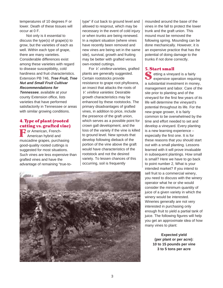temperatures of 10 degrees F or lower. Death of these tissues will occur at 0 F.

Not only is it essential to discuss the type(s) of grape(s) to grow, but the varieties of each as well. Within each type of grape, there are many varieties. Considerable differences exist among these varieties with regard to disease susceptibility, cold hardiness and fruit characteristics. Extension PB 746, **Tree Fruit, Tree Nut and Small Fruit Cultivar Recommendations for**

**Tennessee**, available at your county Extension office, lists varieties that have performed satisfactorily in Tennessee or areas with similar growing conditions.

# 4. Type of plant (rooted cutting vs. grafted vine)

**F** or American, French-<br>American hybrid and American hybrid and muscadine grapes, purchasing good-quality rooted cuttings is suggested for most situations. Such vines are less expensive than grafted vines and have the advantage of remaining "true-to-

type" if cut back to ground level and allowed to resprout, which may be necessary in the event of cold injury or when trunks are being renewed. In a replant situation (where vines have recently been removed and new vines are being set in the same site), survival, growth and fruiting may be better with grafted versus own-rooted cuttings.

For V. vinifera varieties, grafted plants are generally suggested. Certain rootstocks provide resistance to grape root phylloxera, an insect that attacks the roots of V. vinifera varieties. Desirable growth characteristics may be enhanced by these rootstocks. The primary disadvantages of grafted vines, in addition to price, include the presence of the graft union, which serves as a possible point for crown gall development, and the loss of the variety if the vine is killed to ground level. New sprouts that develop following dieback of the portion of the vine above the graft would have characteristics of the rootstock and not the desired variety. To lessen chances of this occurring, soil is frequently



mounded around the base of the vines in the fall to protect the lower trunk and the graft union. This mound must be removed the following spring. Mounding can be done mechanically. However, it is an expensive practice that has the potential of doing damage to the trunks if not done correctly.

#### 5. Start small

Setting a vineyard is a fairly<br>
expensive operation required expensive operation requiring a substantial investment in money, management and labor. Care of the site prior to planting and of the vineyard for the first few years of its life will determine the vineyard's potential throughout its life. For the new grape grower, it is fairly common to be overwhelmed by the time and effort needed to set and develop a vineyard. Every planting is a new learning experience – especially the first one. It is for these reasons that you should start out with a small planting. Lessons learned with it will prove invaluable in subsequent plantings. How small is small? Here we have to go back to point number 2, What is your intended market? If you intend to sell fruit to a commercial winery, you need to discuss with the winery operator what he or she would consider the minimum quantity of juice of a given variety in which the winery would be interested. Wineries generally are not very interested in purchasing only enough fruit to yield a partial tank of juice. The following figures will help you get an approximate idea of how many vines to plant:

> **Expected yield (per plant or per acre): 10 to 15 pounds per vine 3 to 5 tons per acre**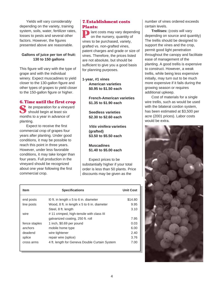Yields will vary considerably depending on the variety, training system, soils, water, fertilizer rates, losses to pests and several other factors. However, the figures presented above are reasonable.

#### **Gallons of juice per ton of fruit: 130 to 150 gallons**

This figure will vary with the type of grape and with the individual winery. Expect muscadines to yield closer to the 130-gallon figure and other types of grapes to yield closer to the 150-gallon figure or higher.

# 6. Time until the first crop

S ite preparation for a vineyard<br>
should begin at least six should begin at least six months to a year in advance of planting.

Expect to receive the first commercial crop of grapes four years after planting. Under good conditions, it may be possible to reach this point in three years. However, under less favorable conditions, it may take longer than four years. Full production in the vineyard should be recognized about one year following the first commercial crop.

# 7. Establishment costs Plants:

**P** lant costs may vary depending<br>on the nursery, quantity of on the nursery, quantity of vines to be purchased, variety, grafted vs. non-grafted vines, patent charges and grade or size of vines. Therefore, the prices listed are not absolute, but should be sufficient to give you a good basis for planning purposes.

**1-year, #1 vines American varieties \$0.95 to \$1.50 each**

> **French-American varieties \$1.35 to \$1.90 each**

**Seedless varieties \$2.30 to \$2.60 each**

**Vitis vinifera varieties (grafted) \$3.50 to \$5.50 each**

**Muscadines \$1.40 to \$5.00 each**

Expect prices to be substantially higher if your total order is less than 50 plants. Price discounts may be given as the

| <b>Item</b>   | <b>Specifications</b>                         | <b>Unit Cost</b> |
|---------------|-----------------------------------------------|------------------|
| end posts     | 10 ft. in length x 5 to 6 in. diameter        | \$14.80          |
| line posts    | Wood, 8 ft. in length x 5 to 6 in. diameter   | 9.95             |
|               | Steel, 8 ft. length                           | 3.10             |
| wire          | #11 crimped, high-tensile with class III      |                  |
|               | galvanized coating, 250 ft. roll              | 7.95             |
| fence staples | 1 inch, \$0.69 per pound                      | 0.03             |
| anchors       | mobile home type                              | 6.00             |
| deadend       | wire tightener                                | 2.40             |
| splice        | repair wire (splice)                          | 3.76             |
| cross arms    | 4 ft. length for Geneva Double Curtain System | 7.00             |
|               |                                               |                  |

number of vines ordered exceeds certain levels.

**Trellises:** (costs will vary depending on source and quantity) The trellis should be designed to support the vines and the crop, permit good light penetration throughout the canopy and facilitate ease of management of the planting. A good trellis is expensive to construct. However, a weak trellis, while being less expensive initially, may turn out to be much more expensive if it fails during the growing season or requires additional upkeep.

Cost of materials for a single wire trellis, such as would be used with the bilateral cordon system, has been estimated at \$3,500 per acre (2001 prices). Labor costs would be extra.

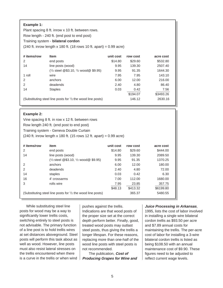| <b>Example 1:</b><br>Plant spacing 8 ft. inrow x 10 ft. between rows.<br>Row length - 240 ft. (end post to end post)<br>Training system - <b>bilateral cordon</b><br>$(240 \text{ ft.} \text{ inrow length x } 180 \text{ ft.} (18 \text{ rows } 10 \text{ ft.} \text{ apart}) = 0.99 \text{ acre})$ |                                                                       |           |          |           |  |  |  |
|------------------------------------------------------------------------------------------------------------------------------------------------------------------------------------------------------------------------------------------------------------------------------------------------------|-----------------------------------------------------------------------|-----------|----------|-----------|--|--|--|
| # items/row                                                                                                                                                                                                                                                                                          | <b>Item</b>                                                           | unit cost | row cost | acre cost |  |  |  |
| $\mathcal{P}$                                                                                                                                                                                                                                                                                        | end posts                                                             | \$14.80   | \$29.60  | \$532.80  |  |  |  |
| 14                                                                                                                                                                                                                                                                                                   | line posts (wood)                                                     | 9.95      | 139.30   | 2507.40   |  |  |  |
|                                                                                                                                                                                                                                                                                                      | $(1/2 \text{ steel } @ $3.10, 1/2 \text{ wood } @ $9.95)$             | 9.95      | 91.35    | 1644.30   |  |  |  |
| 1 roll                                                                                                                                                                                                                                                                                               | wire                                                                  | 7.95      | 7.95     | 143.10    |  |  |  |
| 2                                                                                                                                                                                                                                                                                                    | anchors                                                               | 6.00      | 12.00    | 216.00    |  |  |  |
| $\mathcal{P}$                                                                                                                                                                                                                                                                                        | deadends                                                              | 2.40      | 4.80     | 86.40     |  |  |  |
| 14                                                                                                                                                                                                                                                                                                   | <b>Staples</b>                                                        | 0.03      | 0.42     | 7.56      |  |  |  |
|                                                                                                                                                                                                                                                                                                      |                                                                       |           | \$194.07 | \$3493.26 |  |  |  |
|                                                                                                                                                                                                                                                                                                      | (Substituting steel line posts for $\frac{1}{2}$ the wood line posts) |           | 146.12   | 2630.16   |  |  |  |

#### **Example 2:**

Vine spacing 8 ft. in row x 12 ft. between rows Row length 240 ft. (end post to end post) Training system - Geneva Double Curtain (240 ft. inrow length x 180 ft. (15 rows 12 ft. apart) = 0.99 acre)

| # items/row                                                           | item                                                      | unit cost | row cost | acre cost |
|-----------------------------------------------------------------------|-----------------------------------------------------------|-----------|----------|-----------|
| $\overline{2}$                                                        | end posts                                                 | \$14.80   | \$29.60  | \$444.00  |
| 14                                                                    | line posts (wood)                                         | 9.95      | 139.30   | 2089.50   |
|                                                                       | $(1/2 \text{ steel } @ $3.10, 1/2 \text{ wood } @ $9.95)$ | 9.95      | 91.35    | 1370.25   |
| 2                                                                     | anchors                                                   | 6.00      | 12.00    | 180.00    |
| 2                                                                     | deadends                                                  | 2.40      | 4.80     | 72.00     |
| 14                                                                    | staples                                                   | 0.03      | 0.42     | 6.30      |
| 16                                                                    | 4' crossarms                                              | 7.00      | 112.00   | 1680.00   |
| 3                                                                     | rolls wire                                                | 7.95      | 23.85    | 357.75    |
|                                                                       |                                                           | \$48.13   | \$413.32 | \$6199.80 |
| (Substituting steel line posts for $\frac{1}{2}$ the wood line posts) |                                                           |           | 365.37   | 5480.55   |

While substituting steel line posts for wood may be a way to significantly lower trellis costs, switching entirely to steel posts is not advisable. The primary function of a line post is to hold trellis wires at set distances aboveground. Steel posts will perform this task about as well as wood. However, line posts must also resist lateral stresses on the trellis encountered when there is a curve in the trellis or when wind pushes against the trellis. Indications are that wood posts of the proper size set at the correct depth perform better. Finally, good, treated wood posts may outlast steel posts, thus giving the trellis a longer lifespan. For these reasons, replacing more than one-half of the wood line posts with steel posts is not recommended.

The publication, **Cost of Producing Grapes for Wine and**

#### **Juice Processing in Arkansas**,

1995, lists the cost of labor involved in installing a single wire bilateral cordon trellis as \$93.50 per acre and \$7.89 annual costs for maintaining the trellis. The per-acre cost of labor for installing a 3-wire bilateral cordon trellis is listed as being \$108.50 with an annual maintenance cost of \$9.90. These figures need to be adjusted to reflect current wage levels.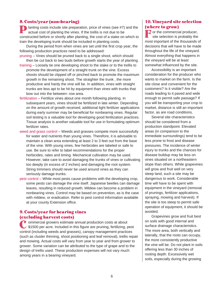# 8. Costs/year (non-bearing)

**P** lanting costs include site preparation, price of vines (see #7) and the actual cost of planting the vines. If the trellis is not due to be constructed before or shortly after planting, the cost of a stake on which to train the developing trunk should be included in planting costs.

During the period from when vines are set until the first crop year, the following production practices need to be addressed:

pruning – Vines should be pruned back to a single shoot, which should then be cut back to two buds before growth starts the year of planting.

- training Loosely tie one developing shoot to the stake or to the trellis to promote the development of a straight trunk on the vine. Excess shoots should be clipped off or pinched back to promote the maximum growth in the remaining shoot. The straighter the trunk , the more productive and hardy the vine will be. In addition, vines with straight trunks are less apt to be hit by equipment than vines with trunks that bow out into the between- row area.
- fertilization Fertilize vines about one month following planting. In subsequent years, vines should be fertilized in late winter. Depending on the amount of growth received, additional light fertilizer applications during early summer may be beneficial for nonbearing vines. Regular soil testing is a valuable tool for developing good fertilization practices. Tissue analysis is another valuable tool for use in formulating optimum fertilizer rates.
- weed and grass control Weeds and grasses compete more successfully for water and nutrients than young vines. Therefore, it is advisable to maintain a clean area extending at least 2 to 3 feet out from the base of the vine. With young vines, few herbicides are labeled or safe to use. Be sure to refer to label recommendations for the proper herbicides, rates and timing. Mechanical cultivation may be used. However, take care to avoid damaging the trunks of vines or cultivating too deeply (in excess of 2 inches) and damaging the root system. String trimmers should never be used around vines as they can seriously damage trunks.
- pest control While most pests cause problems with the developing crop, some pests can damage the vine itself. Japanese beetles can damage leaves, resulting in reduced growth. Mildew can become a problem in nonbearing vines. Control may be based on prevention, as is the case with mildew, or eradication. Refer to pest control information available at your county Extension office.

# 9. Costs/year for bearing vines (excluding harvest costs)

**O** ommercial growers estimate annual production costs at about  $\sqrt{31500}$  per acre. Included in this figure are pruning, fertilizing, pest commercial growers estimate annual production costs at about<br>
\$1500 per acre. Included in this figure are pruning, fertilizing, pes<br>
control (including weeds and grasses), canopy management practices (such as cluster thinning, shoot positioning and leaf removal), trellis repair and mowing. Actual costs will vary from year to year and from grower to grower. Some variation can be attributed to the type of grape and to the design of trellis used. These production expenses will not vary much among years in a bearing vineyard.

# 10. Vineyard site selection (where to grow)

**F** or the commercial producer,<br>site selection is probably the site selection is probably the most important of the thousands of decisions that will have to be made throughout the life of the vineyard. Almost everything that happens in the vineyard will be at least somewhat influenced by the site.

Accessibility is an important consideration for the producer who wants to market on the farm. Is the site close and convenient for the customers? Is it visible? Are the roads leading to it paved and wide enough to permit safe passage? If you will be transporting your crop to market, distance is still an important factor, as are road conditions.

Several site characteristics should be considered from a production standpoint. Elevated areas (in comparison to the immediate surroundings) tend to be less prone to frost and disease pressures. The incidence of winter injury to trunks and the chances for disease buildup may be less on vines situated on a northeastern slope than others. While grapevines will grow and fruit well on very steep land, such a site may be dangerous to work. Considerable time will have to be spent with equipment in the vineyard (removal of prunings, fertilizer applications, spraying, mowing and harvest). If the site is too steep to permit safe operation of equipment, it should be avoided.

Grapevines grow and fruit best on soils with good internal and surface drainage characteristics. The more area, both vertically and laterally, that the roots can occupy, the more consistently productive the vine will be. Do not plant in soils offering less than 30 inches of rooting depth. Excessively wet soils, especially during the growing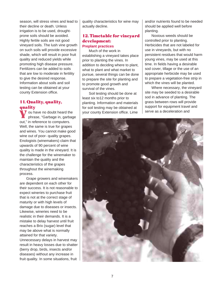season, will stress vines and lead to their decline or death. Unless irrigation is to be used, droughtprone soils should be avoided. Highly fertile soils are not good vineyard soils. The lush vine growth on such soils will provide excessive shade, which will result in poor fruit quality and reduced yields while promoting high disease pressure. Fertilizers can be added to soils that are low to moderate in fertility to give the desired response. Information about soils and soil testing can be obtained at your county Extension office.

# 11. Quality, quality, quality

V ou have no doubt heard the<br>phrase, "Garbage in, garbag phrase, "Garbage in, garbage out," in reference to computers. Well, the same is true for grapes and wines. You cannot make good wine out of poor- quality grapes. Enologists (winemakers) claim that upwards of 90 percent of wine quality is made in the vineyard. It is the challenge for the winemaker to maintain the quality and the characteristics of the grapes throughout the winemaking process.

Grape growers and winemakers are dependent on each other for their success. It is not reasonable to expect wineries to purchase fruit that is not at the correct stage of maturity or with high levels of damage due to diseases or insects. Likewise, wineries need to be realistic in their demands. It is a mistake to delay harvest until fruit reaches a Brix (sugar) level that may be above what is normally attained for that variety. Unnecessary delays in harvest may result in heavy losses due to shatter (berry drop, birds, insects and/or diseases) without any increase in fruit quality. In some situations, fruit

quality characteristics for wine may actually decline.

# 12. Timetable for vineyard development: **Preplant practices**

Much of the work in establishing a vineyard takes place prior to planting the vines. In addition to deciding where to plant, what to plant and what market to pursue, several things can be done to prepare the site for planting and to promote good growth and survival of the vines.

Soil testing should be done at least six to12 months prior to planting. Information and materials for soil testing may be obtained at your county Extension office. Lime

and/or nutrients found to be needed should be applied well before planting.

Noxious weeds should be controlled prior to planting. Herbicides that are not labeled for use in vineyards, but with no persistent residues that would harm young vines, may be used at this time. In fields having a desirable sod cover, tillage or the use of an appropriate herbicide may be used to prepare a vegetation-free strip in which the vines will be planted.

Where necessary, the vineyard site may be seeded to a desirable sod in advance of planting. The grass between rows will provide support for equipment travel and serve as a deceleration and

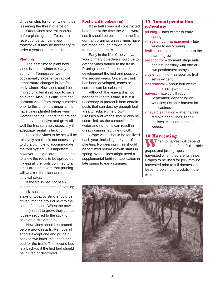diffusion strip for runoff water, thus lessening the threat of erosion.

Order vines several months before planting time. To assure receipt of certain varieties/ rootstocks, it may be necessary to order a year or more in advance.

#### **Planting**

The best time to plant new vines is in late winter to early spring. In Tennessee, we occasionally experience radical temperature changes in late fall to early winter. New vines could be injured or killed if set prior to such an event. Also, it is difficult to get dormant vines from many nurseries prior to this time. It is important to have vines planted before warm weather begins. Plants that are set late may not survive and grow off well the first summer, especially if adequate rainfall is lacking.

Since the vines to be set will be relatively small, it is not necessary to dig a big hole to accommodate the root system. It is important, however, to dig a large enough hole to allow the roots to be spread out. Having all the roots confined to a small area or severe root pruning will weaken the plant and reduce survival rates.

If the trellis has not been constructed at the time of planting, a stick, such as a tomato stake or tobacco stick, should be driven into the ground next to the base of the vine. When the new shoot(s) start to grow, they can be loosely secured to the stick to develop a straight trunk.

New vines should be pruned before growth starts. Remove all shoots except one and prune it back to two buds. You need one bud for the trunk. The second bud is a back-up if the first bud should be injured or destroyed.

#### **Post-plant (nonbearing)**

If the trellis was not constructed before or at the time the vines were set, it should be built before the first dormant pruning, unless vines have not made enough growth to be trained to the trellis.

Early in the life of the vineyard, your primary objective should be to get the vines trained to the trellis. Pruning should focus on trunk development the first and possibly the second years. Once the trunk has been developed, canes or cordons can be selected.

Although the vineyard is not bearing fruit at this time, it is still necessary to protect it from certain pests that can destroy enough leaf area to reduce vine growth. Grasses and weeds should also be controlled, as the competition for water and nutrients can result in greatly diminished vine growth.

Grape vines should be fertilized each year, including the year of planting. Nonbearing vines should be fertilized before growth starts in spring. Weak vines might need a supplemental fertilizer application in late spring to early summer.

# 13. Annual production calendar:

- pruning later winter to early spring vineyard floor management – late winter to early spring fertilization – one month prior to the start of growth pest control – dormant stage until harvest, possibly with one or two postharvest sprays cluster thinning – as soon as fruit set is evident leaf removal – about four weeks prior to anticipated harvest harvest – late July through
	- September, depending on varieties; October harvest for muscadines
- vineyard sanitation after harvest remove dead vines, repair trellises, eliminate problem weeds.

#### 14. Harvesting:

W Then to harvest will depend on the use of the fruit. Table grapes and juice grapes should be harvested when they are fully ripe. Grapes to be used for jelly may be harvested prior to full ripeness to lessen problems of crystals in the jelly.

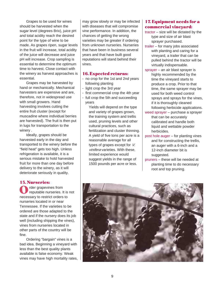Grapes to be used for wines should be harvested when the sugar level (degrees Brix), juice pH and total acidity reach the desired point for the type of wine to be made. As grapes ripen, sugar levels in the fruit will increase, total acidity of the juice will decrease and juice pH will increase. Crop sampling is essential to determine the optimum time to harvest. Close contact with the winery as harvest approaches is essential.

Grapes may be harvested by hand or mechanically. Mechanical harvesters are expensive and are, therefore, not in widespread use with small growers. Hand harvesting involves cutting the entire fruit cluster (except for muscadine where individual berries are harvested). The fruit is then put in lugs for transportation to the winery .

Ideally, grapes should be harvested early in the day and transported to the winery before the "field heat" gets too high. Unless refrigeration is available, it is a serious mistake to hold harvested fruit for more than one day before delivery to the winery, as it will deteriorate seriously in quality.

#### 15. Nurseries:

rder grapevines from reputable nurseries. It is not O rder grapevines from<br>reputable nurseries. It is<br>necessary to restrict orders to nurseries located in or near Tennessee. If the varieties to be ordered are those adapted to the state and if the nursery does its job well (including shipping the vines), vines from nurseries located in other parts of the country will be fine.

Ordering "bargain" vines is a bad idea. Beginning a vineyard with less than the best quality plants available is false economy. Weak vines may have high mortality rates,

may grow slowly or may be infected with diseases that will compromise vine performance. In addition, the chances of getting the wrong varieties may be greater if ordering from unknown nurseries. Nurseries that have been in business several years and that have built good reputations will stand behind their vines.

#### 16. Expected returns:

- no crop for the 1st and 2nd years following planting
- light crop the 3rd year
- first commercial crop the 4th year
- full crop the 5th and succeeding years

Yields will depend on the type and variety of grapes grown, the training system and trellis used, pruning levels and other cultural practices, such as fertilization and cluster thinning. A yield of five tons per acre is a reasonable average for all types of grapes except for V. vinifera varieties. With these, limited experience would suggest yields in the range of 1500 pounds per acre or less.

# 17. Equipment needs for a commercial vineyard:

- tractor size will be dictated by the type and size of air blast sprayer purchased.
- trailer for many jobs associated with planting and caring for a vineyard, a trailer that can be pulled behind the tractor will be virtually indispensable.
- sprayer an air blast sprayer is highly recommended by the time the vineyard starts to produce a crop. Prior to that time, the same sprayer may be used for both weed control sprays and sprays for the vines, if it is thoroughly cleaned following herbicide applications.
- weed sprayer purchase a sprayer that can be accurately calibrated and handle both liquid and wettable powder herbicides.
- post hole auger for planting vines and for constructing the trellis, an auger with a 6-inch and a 12-inch diameter bit is suggested.
- pruners these will be needed at planting time to do necessary root and top pruning.

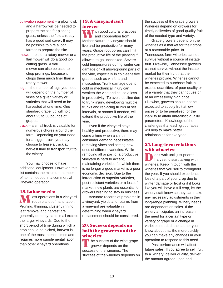- cultivation equipment a plow, disk and a harrow will be needed to prepare the site for planting grass, unless the field already has a good sod cover. It may be possible to hire a local farmer to prepare the site.
- mower either a rotary mower or a flail mower will do a good job cutting grass. A flail mower can also be used to chop prunings, because it chops them much finer than a rotary mower.
- lugs the number of lugs you need will depend on the number of vines of a given variety or varieties that will need to be harvested at one time. One standard grape lug will hold about 25 to 30 pounds of grapes.
- truck a small truck is valuable for numerous chores around the farm. Depending on your need for a bigger truck, you may choose to lease a truck at harvest time to transport fruit to the winery .

You may choose to have additional equipment. However, this list contains the minimum number of items needed in a commercial vineyard operation.

# 18. Labor needs:

 ost operations in a vineyard require a lot of hand labor. **M** ost operations in a vineyar<br>Pruning, thinning, cluster thinning, leaf removal and harvest are generally done by hand in all except the larger vineyards. Due to the short period of time during which a crop should be picked, harvest is one of the most intense times and requires more supplemental labor than other vineyard operations.

# 19. A vineyard isn't forever:

 $\blacksquare$  ith good cultural practices and cooperation from **W** ith good cultural practices<br>
Mother Nature, a vineyard should live and be productive for many years. Grape root borers can limit the productive life of the planting if allowed to go unchecked. Severe cold temperatures during winter can damage or kill aboveground parts of the vine, especially in cold-sensitive grapes such as vinifera and muscadine. Trunk damage due to cold or mechanical injury can weaken the vine and cause a loss in productivity. To avoid decline due to trunk injury, developing multiple trunks and replacing trunks at set intervals, or sooner if needed, will extend the productive life of the vine.

Even if the vineyard stays healthy and productive, there may come a time when a shift in consumer demand necessitates removing vines and setting new ones of different varieties. While removing all or part of a productive vineyard is hard to accept, maintaining varieties for which there is no longer a good market is a poor economic decision. Due to the introduction of superior varieties, pest-resistant varieties or a loss of market, new plants are essential for growers wishing to stay in business.

Accurate records of problems in a vineyard, yields and returns from a vineyard are valuable in determining when vineyard replacement should be considered.

# 20. Success depends on both the growers and the wineries:

The success of the wine grape<br>grower depends on the grower depends on the success of the wineries. The success of the wineries depends on the success of the grape growers. Wineries depend on growers for timely deliveries of good-quality fruit of the needed type and variety.

Grape growers depend on the wineries as a market for their crops at a reasonable price. In Tennessee, farm wineries cannot survive without a source of instate fruit. Likewise, Tennessee growers cannot survive without the instate market for their fruit that the wineries provide. Wineries cannot be expected to purchase fruit in excess quantities, of poor quality or of a variety that they cannot use or at an excessively high price. Likewise, growers should not be expected to supply fruit at low prices or to be penalized for the inability to attain unrealistic quality parameters. Knowledge of the challenges that each group faces will help to make better relationships for everyone.

# 21. Long-term relations with wineries:

 on't wait until just prior to harvest to start talking with on't wait until just prior to<br>harvest to start talking with<br>wineries. Keep in touch with the wineries that you sell to throughout the year. If you should experience loss of a part of your crop due to winter damage or frost or if it looks like you will have a full crop, let the winery staff know so they can make any necessary adjustments in their long-range planning. Winery needs are dependent on sales. If the winery anticipates an increase in the need for a certain type or variety of grape or a change in varieties needed, the sooner you know about this, the more quickly you can make any changes in your operation to respond to this need.

Past performance will affect future sales. If you agree to sell fruit to a winery, deliver quality, deliver the amount agreed upon and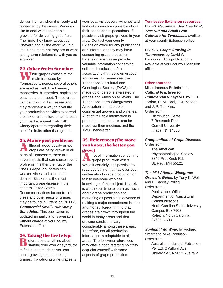deliver the fruit when it is ready and is needed by the winery. Wineries like to deal with dependable growers for delivering good fruit. The more they know about your vineyard and all the effort you put into it, the more apt they are to want a long-term relationship with you as a grower.

22. Other fruits for wine: **W** hile grapes constitute the main fruit used by main fruit used by Tennessee wineries, several others are used as well. Blackberries, raspberries, blueberries, apples and peaches are all used. These crops can be grown in Tennessee and may represent a way to diversify your production activities to spread the risk of crop failure or to increase your market appeal. Talk with winery operators regarding their need for fruits other than grapes.

# 23. Major pest problems:

 lthough good-quality grape crops are being grown in all A lthough good-quality grands of Tennessee, there are several pests that can cause severe problems in either the fruit or the vines. Grape root borers can weaken vines and cause their demise. Black rot is the most important grape disease in the eastern United States. Recommendations for control of these and other pests of grapes may be found in Extension PB1175, **Commercial Small Fruit Spray Schedules**. This publication is updated annually and is available without charge at your county Extension office.

#### 24. Taking the first step:

Before doing anything about<br>starting your own vineyard, starting your own vineyard, try to find out as much as you can about growing and marketing grapes. If producing wine grapes is

your goal, visit several wineries and find out as much as possible about their needs and expectations. If possible, visit grape growers in your area. Contact your county Extension office for any publications and information they may have concerning grape production. Extension agents can provide valuable information concerning soils and production. Join associations that focus on grapes and wines. In Tennessee, the Tennessee Viticultural and Oenological Society (TVOS) is made up of persons interested in grapes and wines on all levels. The Tennessee Farm Winegrowers Association is made up of commercial growers and wineries. A lot of valuable information is presented and contacts can be made via their meetings and the TVOS newsletter.

# 25. References (the more you know, the better you grow)

 lot of information concerning grape production exists. While it certainly isn't possible to read everything that has ever been written about grape production or talk to everyone who has knowledge of this subject, it surely is worth your time to learn as much about grape production and marketing as possible in advance of making a major commitment in time and money. Keep in mind that grapes are grown throughout the world in many areas and that growing conditions vary considerably among these areas. Therefore, not all production information is adaptable to all areas. The following references may offer a good "starting point" to acquaint yourself with some aspects of grape production. A

#### **Tennessee Extension resources:**

PB746, **Recommended Tree Fruit, Tree Nut and Small Fruit Cultivars for Tennessee**, available at your county Extension office.

PB1475, **Grape Growing in Tennessee**, by David W. Lockwood. This publication is available at your county Extension office.

#### **Other sources:**

Miscellaneous Bulletin 111, **Cultural Practices for Commercial Vineyards**, by T .D. Jordan, R. M. Pool, T. J. Zabadal, and J. P. Tomkins. Order from: Distribution Center 7 Research Park Cornell University Ithaca, NY 14850

#### **Compendium of Grape Diseases**. Order from:

The American Phytopathological Society 3340 Pilot Knob Rd. St. Paul, MN 55121

#### **The Mid-Atlantic Winegrape**

**Grower's Guide**, by Tony K. Wolf and E. Barclay Poling. Order from: Publications Office Department of Agricultural

**Communications** North Carolina State University Campus Box 7603 Raleigh, North Carolina 27695- 7603

**Sunlight Into Wine,** by Richard Smart and Mike Robinson. Order from Australian Industrial Publishers Pty Ltd. 2 Wilford Ave. Underdale SA 5032 Australia